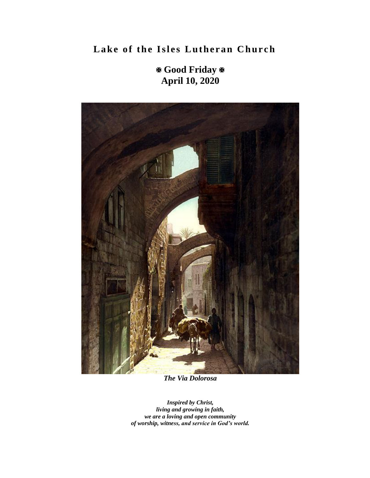**Lake of the Isles Lutheran Church** 

 **Good Friday April 10, 2020**



*The Via Dolorosa*

*Inspired by Christ, living and growing in faith, we are a loving and open community of worship, witness, and service in God's world.*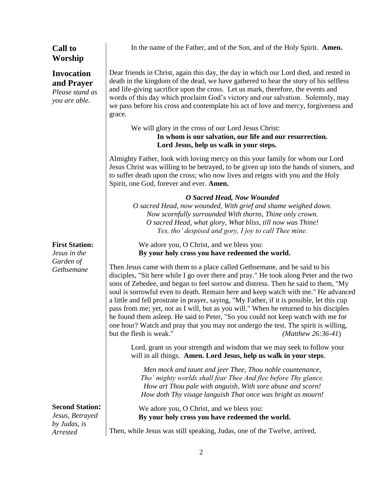# **Worship Invocation and Prayer** *Please stand as you are able.* **First Station:**  *Jesus in the Garden of Gethsemane*  **Second Station:**  *Jesus, Betrayed by Judas, is Arrested*

**Call to** 

In the name of the Father, and of the Son, and of the Holy Spirit. **Amen.**

Dear friends in Christ, again this day, the day in which our Lord died, and rested in death in the kingdom of the dead, we have gathered to hear the story of his selfless and life-giving sacrifice upon the cross. Let us mark, therefore, the events and words of this day which proclaim God's victory and our salvation. Solemnly, may we pass before his cross and contemplate his act of love and mercy, forgiveness and grace.

We will glory in the cross of our Lord Jesus Christ:

**In whom is our salvation, our life and our resurrection. Lord Jesus, help us walk in your steps.**

Almighty Father, look with loving mercy on this your family for whom our Lord Jesus Christ was willing to be betrayed, to be given up into the hands of sinners, and to suffer death upon the cross; who now lives and reigns with you and the Holy Spirit, one God, forever and ever. **Amen.**

### *O Sacred Head, Now Wounded*

*O sacred Head, now wounded, With grief and shame weighed down. Now scornfully surrounded With thorns, Thine only crown. O sacred Head, what glory, What bliss, till now was Thine! Yes, tho' despised and gory, I joy to call Thee mine.*

We adore you, O Christ, and we bless you: **By your holy cross you have redeemed the world.** 

Then Jesus came with them to a place called Gethsemane, and he said to his disciples, "Sit here while I go over there and pray." He took along Peter and the two sons of Zebedee, and began to feel sorrow and distress. Then he said to them, "My soul is sorrowful even to death. Remain here and keep watch with me." He advanced a little and fell prostrate in prayer, saying, "My Father, if it is possible, let this cup pass from me; yet, not as I will, but as you will." When he returned to his disciples he found them asleep. He said to Peter, "So you could not keep watch with me for one hour? Watch and pray that you may not undergo the test. The spirit is willing, but the flesh is weak." *(Matthew 26:36-41*)

Lord, grant us your strength and wisdom that we may seek to follow your will in all things. **Amen. Lord Jesus, help us walk in your steps**.

*Men mock and taunt and jeer Thee, Thou noble countenance, Tho' mighty worlds shall fear Thee And flee before Thy glance. How art Thou pale with anguish, With sore abuse and scorn! How doth Thy visage languish That once was bright as mourn!*

We adore you, O Christ, and we bless you: **By your holy cross you have redeemed the world.** 

Then, while Jesus was still speaking, Judas, one of the Twelve, arrived,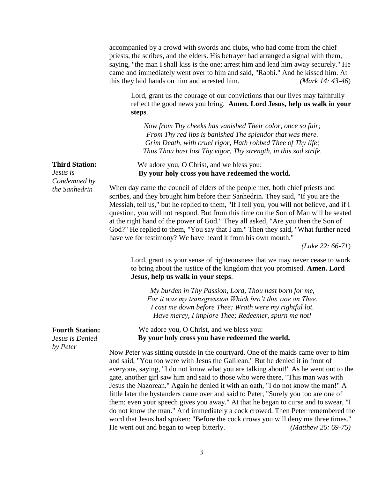accompanied by a crowd with swords and clubs, who had come from the chief priests, the scribes, and the elders. His betrayer had arranged a signal with them, saying, "the man I shall kiss is the one; arrest him and lead him away securely." He came and immediately went over to him and said, "Rabbi." And he kissed him. At this they laid hands on him and arrested him. *(Mark 14: 43-46*)

Lord, grant us the courage of our convictions that our lives may faithfully reflect the good news you bring. **Amen. Lord Jesus, help us walk in your steps**.

*Now from Thy cheeks has vanished Their color, once so fair; From Thy red lips is banished The splendor that was there. Grim Death, with cruel rigor, Hath robbed Thee of Thy life; Thus Thou hast lost Thy vigor, Thy strength, in this sad strife*.

We adore you, O Christ, and we bless you: **By your holy cross you have redeemed the world.** 

When day came the council of elders of the people met, both chief priests and scribes, and they brought him before their Sanhedrin. They said, "If you are the Messiah, tell us," but he replied to them, "If I tell you, you will not believe, and if I question, you will not respond. But from this time on the Son of Man will be seated at the right hand of the power of God." They all asked, "Are you then the Son of God?" He replied to them, "You say that I am." Then they said, "What further need have we for testimony? We have heard it from his own mouth."

*(Luke 22: 66-71*)

Lord, grant us your sense of righteousness that we may never cease to work to bring about the justice of the kingdom that you promised. **Amen. Lord Jesus, help us walk in your steps**.

*My burden in Thy Passion, Lord, Thou hast born for me, For it was my transgression Which bro't this woe on Thee. I cast me down before Thee; Wrath were my rightful lot. Have mercy, I implore Thee; Redeemer, spurn me not!*

We adore you, O Christ, and we bless you: **By your holy cross you have redeemed the world.** 

Now Peter was sitting outside in the courtyard. One of the maids came over to him and said, "You too were with Jesus the Galilean." But he denied it in front of everyone, saying, "I do not know what you are talking about!" As he went out to the gate, another girl saw him and said to those who were there, "This man was with Jesus the Nazorean." Again he denied it with an oath, "I do not know the man!" A little later the bystanders came over and said to Peter, "Surely you too are one of them; even your speech gives you away." At that he began to curse and to swear, "I do not know the man." And immediately a cock crowed. Then Peter remembered the word that Jesus had spoken: "Before the cock crows you will deny me three times." He went out and began to weep bitterly. *(Matthew 26: 69-75)*

**Third Station:**

*Jesus is Condemned by the Sanhedrin*

# **Fourth Station:**

*Jesus is Denied by Peter*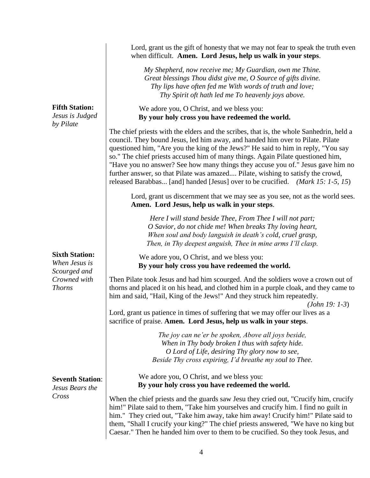**Fifth Station:**

*Jesus is Judged by Pilate*

# **Sixth Station:**

*When Jesus is Scourged and Crowned with Thorns*

# **Seventh Station**:

*Jesus Bears the Cross*

Lord, grant us the gift of honesty that we may not fear to speak the truth even when difficult. **Amen. Lord Jesus, help us walk in your steps**.

*My Shepherd, now receive me; My Guardian, own me Thine. Great blessings Thou didst give me, O Source of gifts divine. Thy lips have often fed me With words of truth and love; Thy Spirit oft hath led me To heavenly joys above.*

We adore you, O Christ, and we bless you: **By your holy cross you have redeemed the world.** 

The chief priests with the elders and the scribes, that is, the whole Sanhedrin, held a council. They bound Jesus, led him away, and handed him over to Pilate. Pilate questioned him, "Are you the king of the Jews?" He said to him in reply, "You say so." The chief priests accused him of many things. Again Pilate questioned him, "Have you no answer? See how many things they accuse you of." Jesus gave him no further answer, so that Pilate was amazed.... Pilate, wishing to satisfy the crowd, released Barabbas... [and] handed [Jesus] over to be crucified. *(Mark 15: 1-5, 15*)

Lord, grant us discernment that we may see as you see, not as the world sees. **Amen. Lord Jesus, help us walk in your steps**.

*Here I will stand beside Thee, From Thee I will not part; O Savior, do not chide me! When breaks Thy loving heart, When soul and body languish in death's cold, cruel grasp, Then, in Thy deepest anguish, Thee in mine arms I'll clasp.*

We adore you, O Christ, and we bless you: **By your holy cross you have redeemed the world.** 

Then Pilate took Jesus and had him scourged. And the soldiers wove a crown out of thorns and placed it on his head, and clothed him in a purple cloak, and they came to him and said, "Hail, King of the Jews!" And they struck him repeatedly.

*(John 19: 1-3*)

Lord, grant us patience in times of suffering that we may offer our lives as a sacrifice of praise. **Amen. Lord Jesus, help us walk in your steps**.

> *The joy can ne'er be spoken, Above all joys beside, When in Thy body broken I thus with safety hide. O Lord of Life, desiring Thy glory now to see, Beside Thy cross expiring, I'd breathe my soul to Thee.*

We adore you, O Christ, and we bless you: **By your holy cross you have redeemed the world.** 

When the chief priests and the guards saw Jesu they cried out, "Crucify him, crucify him!" Pilate said to them, "Take him yourselves and crucify him. I find no guilt in him." They cried out, "Take him away, take him away! Crucify him!" Pilate said to them, "Shall I crucify your king?" The chief priests answered, "We have no king but Caesar." Then he handed him over to them to be crucified. So they took Jesus, and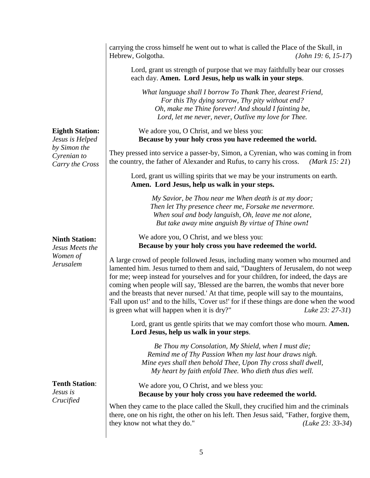carrying the cross himself he went out to what is called the Place of the Skull, in Hebrew, Golgotha. *(John 19: 6, 15-17*)

Lord, grant us strength of purpose that we may faithfully bear our crosses each day. **Amen. Lord Jesus, help us walk in your steps**.

*What language shall I borrow To Thank Thee, dearest Friend, For this Thy dying sorrow, Thy pity without end? Oh, make me Thine forever! And should I fainting be, Lord, let me never, never, Outlive my love for Thee.* 

We adore you, O Christ, and we bless you: **Because by your holy cross you have redeemed the world.** 

They pressed into service a passer-by, Simon, a Cyrenian, who was coming in from the country, the father of Alexander and Rufus, to carry his cross. *(Mark 15: 21*)

Lord, grant us willing spirits that we may be your instruments on earth. **Amen. Lord Jesus, help us walk in your steps.**

> *My Savior, be Thou near me When death is at my door; Then let Thy presence cheer me, Forsake me nevermore. When soul and body languish, Oh, leave me not alone, But take away mine anguish By virtue of Thine own!*

We adore you, O Christ, and we bless you: **Because by your holy cross you have redeemed the world.** 

A large crowd of people followed Jesus, including many women who mourned and lamented him. Jesus turned to them and said, "Daughters of Jerusalem, do not weep for me; weep instead for yourselves and for your children, for indeed, the days are coming when people will say, 'Blessed are the barren, the wombs that never bore and the breasts that never nursed.' At that time, people will say to the mountains, 'Fall upon us!' and to the hills, 'Cover us!' for if these things are done when the wood is green what will happen when it is dry?" *Luke 23: 27-31*)

Lord, grant us gentle spirits that we may comfort those who mourn. **Amen. Lord Jesus, help us walk in your steps**.

*Be Thou my Consolation, My Shield, when I must die; Remind me of Thy Passion When my last hour draws nigh. Mine eyes shall then behold Thee, Upon Thy cross shall dwell, My heart by faith enfold Thee. Who dieth thus dies well.*

We adore you, O Christ, and we bless you: **Because by your holy cross you have redeemed the world.** 

When they came to the place called the Skull, they crucified him and the criminals there, one on his right, the other on his left. Then Jesus said, "Father, forgive them, they know not what they do." *(Luke 23: 33-34*)

## **Eighth Station:**

*Jesus is Helped by Simon the Cyrenian to Carry the Cross*

# **Ninth Station:**

*Jesus Meets the Women of Jerusalem*

**Tenth Station**: *Jesus is Crucified*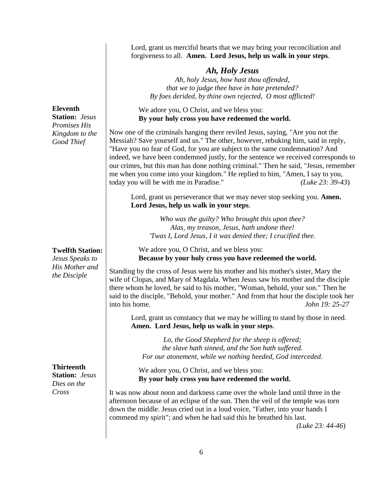Lord, grant us merciful hearts that we may bring your reconciliation and forgiveness to all. **Amen. Lord Jesus, help us walk in your steps**.

# *Ah, Holy Jesus*

*Ah, holy Jesus, how hast thou offended, that we to judge thee have in hate pretended? By foes derided, by thine own rejected, O most afflicted!*

We adore you, O Christ, and we bless you: **By your holy cross you have redeemed the world.** 

Now one of the criminals hanging there reviled Jesus, saying, "Are you not the Messiah? Save yourself and us." The other, however, rebuking him, said in reply, "Have you no fear of God, for you are subject to the same condemnation? And indeed, we have been condemned justly, for the sentence we received corresponds to our crimes, but this man has done nothing criminal." Then he said, "Jesus, remember me when you come into your kingdom." He replied to him, "Amen, I say to you, today you will be with me in Paradise." *(Luke 23: 39-43*)

Lord, grant us perseverance that we may never stop seeking you. **Amen. Lord Jesus, help us walk in your steps**.

*Who was the guilty? Who brought this upon thee? Alas, my treason, Jesus, hath undone thee! 'Twas I, Lord Jesus, I it was denied thee; I crucified thee.*

We adore you, O Christ, and we bless you: **Because by your holy cross you have redeemed the world.** 

Standing by the cross of Jesus were his mother and his mother's sister, Mary the wife of Clopas, and Mary of Magdala. When Jesus saw his mother and the disciple there whom he loved, he said to his mother, "Woman, behold, your son." Then he said to the disciple, "Behold, your mother." And from that hour the disciple took her into his home. *John 19: 25-27*

Lord, grant us constancy that we may be willing to stand by those in need. **Amen. Lord Jesus, help us walk in your steps**.

*Lo, the Good Shepherd for the sheep is offered; the slave hath sinned, and the Son hath suffered. For our atonement, while we nothing heeded, God interceded.*

We adore you, O Christ, and we bless you: **By your holy cross you have redeemed the world.**

It was now about noon and darkness came over the whole land until three in the afternoon because of an eclipse of the sun. Then the veil of the temple was torn down the middle. Jesus cried out in a loud voice, "Father, into your hands I commend my spirit"; and when he had said this he breathed his last.

*(Luke 23: 44-46*)

**Eleventh Station:** *Jesus Promises His Kingdom to the Good Thief*

## **Twelfth Station:**

*Jesus Speaks to His Mother and the Disciple*

**Thirteenth Station:** *Jesus Dies on the Cross*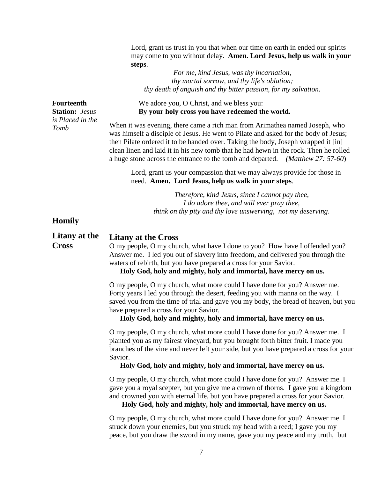|                                                                        | Lord, grant us trust in you that when our time on earth in ended our spirits<br>may come to you without delay. Amen. Lord Jesus, help us walk in your<br>steps.                                                                                                                                                                                                                                                                               |
|------------------------------------------------------------------------|-----------------------------------------------------------------------------------------------------------------------------------------------------------------------------------------------------------------------------------------------------------------------------------------------------------------------------------------------------------------------------------------------------------------------------------------------|
|                                                                        | For me, kind Jesus, was thy incarnation,<br>thy mortal sorrow, and thy life's oblation;<br>thy death of anguish and thy bitter passion, for my salvation.                                                                                                                                                                                                                                                                                     |
| <b>Fourteenth</b><br><b>Station:</b> Jesus<br>is Placed in the<br>Tomb | We adore you, O Christ, and we bless you:<br>By your holy cross you have redeemed the world.                                                                                                                                                                                                                                                                                                                                                  |
|                                                                        | When it was evening, there came a rich man from Arimathea named Joseph, who<br>was himself a disciple of Jesus. He went to Pilate and asked for the body of Jesus;<br>then Pilate ordered it to be handed over. Taking the body, Joseph wrapped it [in]<br>clean linen and laid it in his new tomb that he had hewn in the rock. Then he rolled<br>a huge stone across the entrance to the tomb and departed.<br>( <i>Matthew 27: 57-60</i> ) |
|                                                                        | Lord, grant us your compassion that we may always provide for those in<br>need. Amen. Lord Jesus, help us walk in your steps.                                                                                                                                                                                                                                                                                                                 |
|                                                                        | Therefore, kind Jesus, since I cannot pay thee,<br>I do adore thee, and will ever pray thee,<br>think on thy pity and thy love unswerving, not my deserving.                                                                                                                                                                                                                                                                                  |
| <b>Homily</b>                                                          |                                                                                                                                                                                                                                                                                                                                                                                                                                               |
| Litany at the<br><b>Cross</b>                                          | <b>Litany at the Cross</b><br>O my people, O my church, what have I done to you? How have I offended you?<br>Answer me. I led you out of slavery into freedom, and delivered you through the<br>waters of rebirth, but you have prepared a cross for your Savior.<br>Holy God, holy and mighty, holy and immortal, have mercy on us.                                                                                                          |
|                                                                        | O my people, O my church, what more could I have done for you? Answer me.<br>Forty years I led you through the desert, feeding you with manna on the way. I<br>saved you from the time of trial and gave you my body, the bread of heaven, but you<br>have prepared a cross for your Savior.<br>Holy God, holy and mighty, holy and immortal, have mercy on us.                                                                               |
|                                                                        | O my people, O my church, what more could I have done for you? Answer me. I<br>planted you as my fairest vineyard, but you brought forth bitter fruit. I made you<br>branches of the vine and never left your side, but you have prepared a cross for your<br>Savior.<br>Holy God, holy and mighty, holy and immortal, have mercy on us.                                                                                                      |
|                                                                        |                                                                                                                                                                                                                                                                                                                                                                                                                                               |
|                                                                        | O my people, O my church, what more could I have done for you? Answer me. I<br>gave you a royal scepter, but you give me a crown of thorns. I gave you a kingdom<br>and crowned you with eternal life, but you have prepared a cross for your Savior.<br>Holy God, holy and mighty, holy and immortal, have mercy on us.                                                                                                                      |
|                                                                        | O my people, O my church, what more could I have done for you? Answer me. I<br>struck down your enemies, but you struck my head with a reed; I gave you my<br>peace, but you draw the sword in my name, gave you my peace and my truth, but                                                                                                                                                                                                   |

7